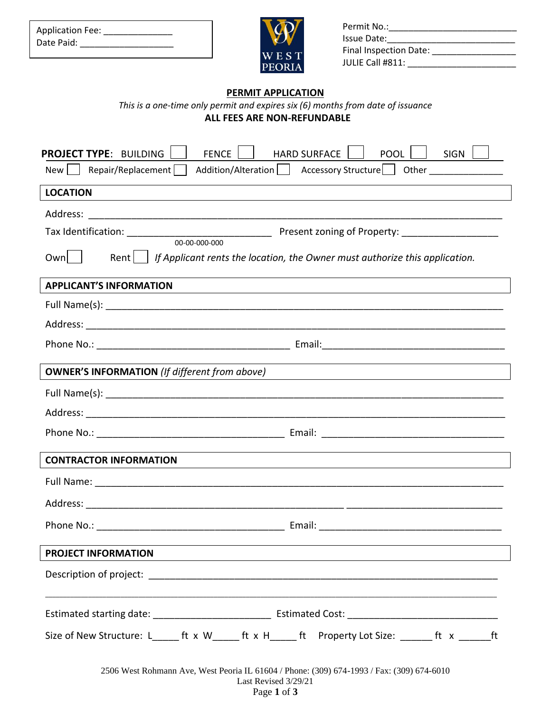| <b>Application Fee:</b> |  |
|-------------------------|--|
| Date Paid:              |  |



| Permit No.:            |  |
|------------------------|--|
| Issue Date:            |  |
| Final Inspection Date: |  |
| JULIE Call #811:       |  |

## **PERMIT APPLICATION**

| This is a one-time only permit and expires six (6) months from date of issuance |  |  |
|---------------------------------------------------------------------------------|--|--|
| ALL FEES ARE NON-REFUNDABLE                                                     |  |  |

| <b>FENCE</b><br><b>PROJECT TYPE: BUILDING</b><br><b>HARD SURFACE</b><br><b>POOL</b><br><b>SIGN</b><br>Addition/Alteration<br>Accessory Structure   Other _____________<br>Repair/Replacement<br>New                            |  |  |  |  |
|--------------------------------------------------------------------------------------------------------------------------------------------------------------------------------------------------------------------------------|--|--|--|--|
| <b>LOCATION</b>                                                                                                                                                                                                                |  |  |  |  |
| and the control of the control of the control of the control of the control of the control of the control of the                                                                                                               |  |  |  |  |
|                                                                                                                                                                                                                                |  |  |  |  |
| 00-00-000-000                                                                                                                                                                                                                  |  |  |  |  |
| Rent $\vert \ \vert$ If Applicant rents the location, the Owner must authorize this application.<br>Own I                                                                                                                      |  |  |  |  |
| <b>APPLICANT'S INFORMATION</b>                                                                                                                                                                                                 |  |  |  |  |
|                                                                                                                                                                                                                                |  |  |  |  |
|                                                                                                                                                                                                                                |  |  |  |  |
| Phone No.: 1990 Contract Contract Contract Contract Contract Contract Contract Contract Contract Contract Contract Contract Contract Contract Contract Contract Contract Contract Contract Contract Contract Contract Contract |  |  |  |  |
| <b>OWNER'S INFORMATION</b> (If different from above)                                                                                                                                                                           |  |  |  |  |
|                                                                                                                                                                                                                                |  |  |  |  |
|                                                                                                                                                                                                                                |  |  |  |  |
|                                                                                                                                                                                                                                |  |  |  |  |
| <b>CONTRACTOR INFORMATION</b>                                                                                                                                                                                                  |  |  |  |  |
|                                                                                                                                                                                                                                |  |  |  |  |
|                                                                                                                                                                                                                                |  |  |  |  |
|                                                                                                                                                                                                                                |  |  |  |  |
| PROJECT INFORMATION                                                                                                                                                                                                            |  |  |  |  |
|                                                                                                                                                                                                                                |  |  |  |  |
|                                                                                                                                                                                                                                |  |  |  |  |
|                                                                                                                                                                                                                                |  |  |  |  |
| Size of New Structure: L______ ft x W______ ft x H_____ ft Property Lot Size: _______ ft x _______ ft                                                                                                                          |  |  |  |  |
|                                                                                                                                                                                                                                |  |  |  |  |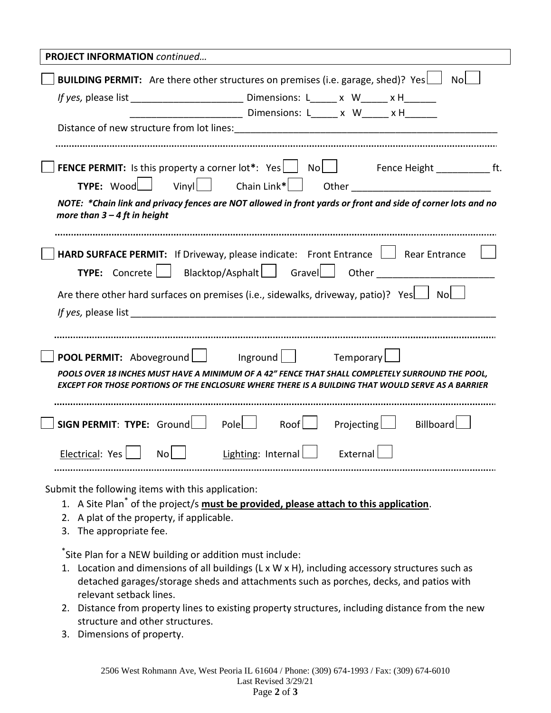| <b>PROJECT INFORMATION</b> continued                                                                                                                                                                   |  |  |
|--------------------------------------------------------------------------------------------------------------------------------------------------------------------------------------------------------|--|--|
| <b>BUILDING PERMIT:</b> Are there other structures on premises (i.e. garage, shed)? Yes $\Box$ No                                                                                                      |  |  |
|                                                                                                                                                                                                        |  |  |
| _____________________________ Dimensions: L_______ x W_______ x H________                                                                                                                              |  |  |
|                                                                                                                                                                                                        |  |  |
|                                                                                                                                                                                                        |  |  |
|                                                                                                                                                                                                        |  |  |
|                                                                                                                                                                                                        |  |  |
| NOTE: *Chain link and privacy fences are NOT allowed in front yards or front and side of corner lots and no<br>more than $3 - 4$ ft in height                                                          |  |  |
|                                                                                                                                                                                                        |  |  |
| HARD SURFACE PERMIT: If Driveway, please indicate: Front Entrance   Rear Entrance                                                                                                                      |  |  |
| <b>TYPE:</b> Concrete $\Box$ Blacktop/Asphalt $\Box$ Gravel $\Box$ Other $\Box$                                                                                                                        |  |  |
| Are there other hard surfaces on premises (i.e., sidewalks, driveway, patio)? Yes $\Box$ No $\Box$                                                                                                     |  |  |
| If yes, please list                                                                                                                                                                                    |  |  |
|                                                                                                                                                                                                        |  |  |
|                                                                                                                                                                                                        |  |  |
| <b>POOL PERMIT:</b> Aboveground   Inground   Temporary                                                                                                                                                 |  |  |
| POOLS OVER 18 INCHES MUST HAVE A MINIMUM OF A 42" FENCE THAT SHALL COMPLETELY SURROUND THE POOL,<br>EXCEPT FOR THOSE PORTIONS OF THE ENCLOSURE WHERE THERE IS A BUILDING THAT WOULD SERVE AS A BARRIER |  |  |
|                                                                                                                                                                                                        |  |  |
| SIGN PERMIT: TYPE: Ground   Pole   Roof   Projecting   Billboard                                                                                                                                       |  |  |
| Lighting: Internal   External<br>Electrical: Yes   No                                                                                                                                                  |  |  |
| Submit the following items with this application:                                                                                                                                                      |  |  |

- 1. A Site Plan\* of the project/s **must be provided, please attach to this application**.
- 2. A plat of the property, if applicable.
- 3. The appropriate fee.

\* Site Plan for a NEW building or addition must include:

- 1. Location and dimensions of all buildings (L x W x H), including accessory structures such as detached garages/storage sheds and attachments such as porches, decks, and patios with relevant setback lines.
- 2. Distance from property lines to existing property structures, including distance from the new structure and other structures.
- 3. Dimensions of property.